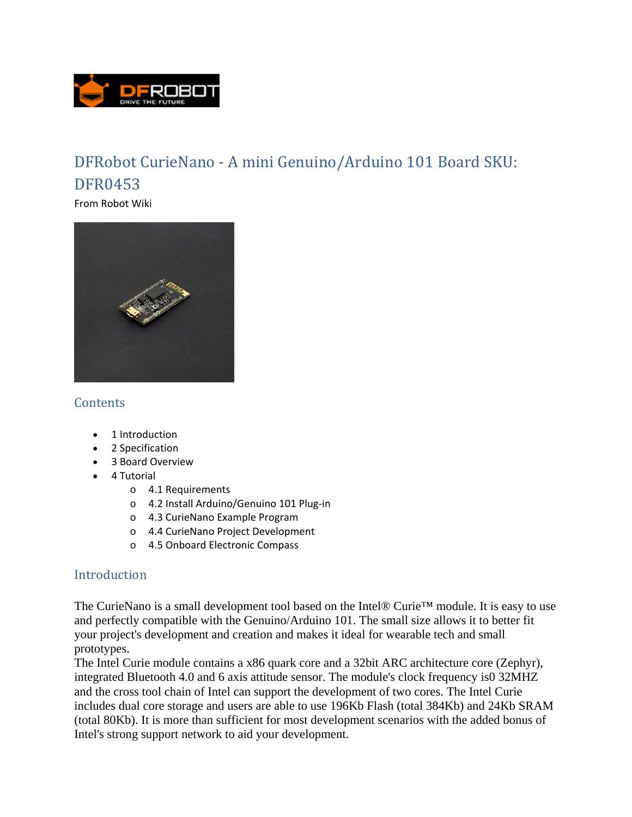

# DFRobot CurieNano - A mini Genuino/Arduino 101 Board SKU: DFR0453

From Robot Wiki



## **Contents**

- 1 Introduction
- 2 Specification
- 3 Board Overview
- 4 Tutorial
	- o 4.1 Requirements
	- o 4.2 Install Arduino/Genuino 101 Plug‐in
	- o 4.3 CurieNano Example Program
	- o 4.4 CurieNano Project Development
	- o 4.5 Onboard Electronic Compass

## Introduction

The CurieNano is a small development tool based on the Intel® Curie™ module. It is easy to use and perfectly compatible with the Genuino/Arduino 101. The small size allows it to better fit your project's development and creation and makes it ideal for wearable tech and small prototypes.

The Intel Curie module contains a x86 quark core and a 32bit ARC architecture core (Zephyr), integrated Bluetooth 4.0 and 6 axis attitude sensor. The module's clock frequency is0 32MHZ and the cross tool chain of Intel can support the development of two cores. The Intel Curie includes dual core storage and users are able to use 196Kb Flash (total 384Kb) and 24Kb SRAM (total 80Kb). It is more than sufficient for most development scenarios with the added bonus of Intel's strong support network to aid your development.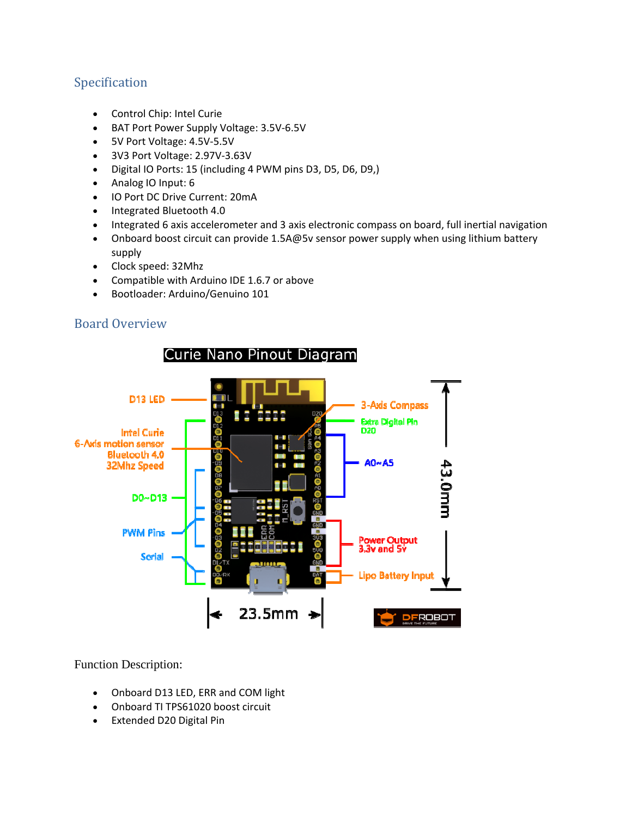# Specification

- Control Chip: Intel Curie
- BAT Port Power Supply Voltage: 3.5V-6.5V
- 5V Port Voltage: 4.5V‐5.5V
- 3V3 Port Voltage: 2.97V‐3.63V
- Digital IO Ports: 15 (including 4 PWM pins D3, D5, D6, D9,)
- Analog IO Input: 6
- IO Port DC Drive Current: 20mA
- Integrated Bluetooth 4.0
- Integrated 6 axis accelerometer and 3 axis electronic compass on board, full inertial navigation
- Onboard boost circuit can provide 1.5A@5v sensor power supply when using lithium battery supply
- Clock speed: 32Mhz
- Compatible with Arduino IDE 1.6.7 or above
- Bootloader: Arduino/Genuino 101

## Board Overview



#### Function Description:

- Onboard D13 LED, ERR and COM light
- Onboard TI TPS61020 boost circuit
- Extended D20 Digital Pin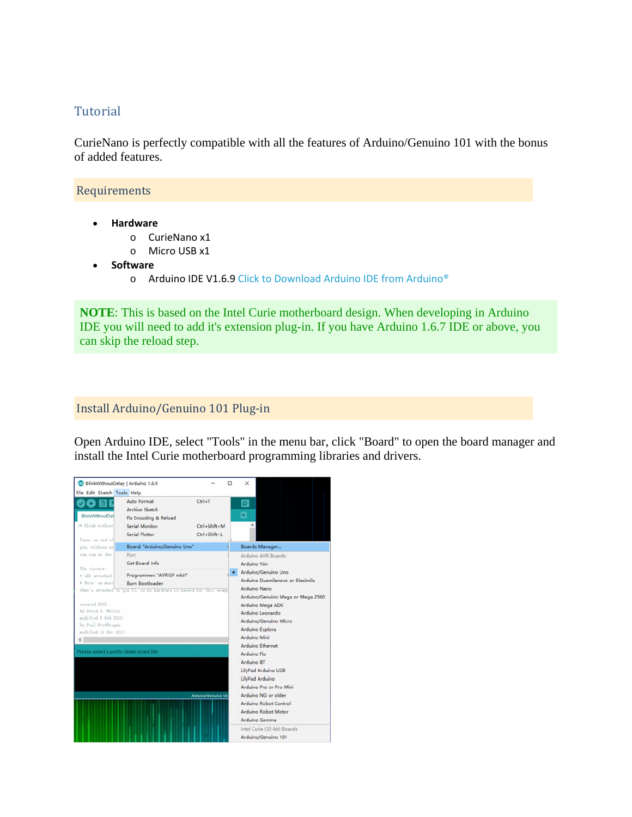#### Tutorial

CurieNano is perfectly compatible with all the features of Arduino/Genuino 101 with the bonus of added features.

#### Requirements

- **Hardware**
	- o CurieNano x1
	- o Micro USB x1
- **•** Software
	- o Arduino IDE V1.6.9 Click to Download Arduino IDE from Arduino<sup>®</sup>

**NOTE**: This is based on the Intel Curie motherboard design. When developing in Arduino IDE you will need to add it's extension plug-in. If you have Arduino 1.6.7 IDE or above, you can skip the reload step.

#### Install Arduino/Genuino 101 Plug-in

Open Arduino IDE, select "Tools" in the menu bar, click "Board" to open the board manager and install the Intel Curie motherboard programming libraries and drivers.

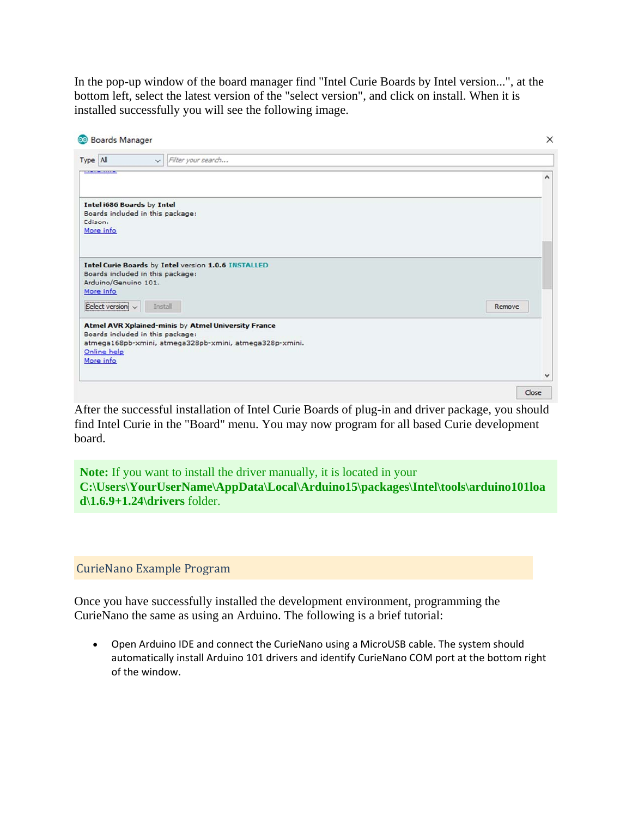In the pop-up window of the board manager find "Intel Curie Boards by Intel version...", at the bottom left, select the latest version of the "select version", and click on install. When it is installed successfully you will see the following image.

| v Filter your search<br>Type All<br>Intel i686 Boards by Intel | $\times$     |
|----------------------------------------------------------------|--------------|
|                                                                |              |
|                                                                | $\wedge$     |
|                                                                |              |
| Boards included in this package:                               |              |
| Edison.<br>More info                                           |              |
|                                                                |              |
|                                                                |              |
| Intel Curie Boards by Intel version 1.0.6 INSTALLED            |              |
| Boards included in this package:<br>Arduino/Genuino 101.       |              |
| More info                                                      |              |
|                                                                |              |
| Select version<br>Install<br>Remove                            |              |
| Atmel AVR Xplained-minis by Atmel University France            |              |
| Boards included in this package:                               |              |
| atmega168pb-xmini, atmega328pb-xmini, atmega328p-xmini.        |              |
| Online help<br>More info                                       |              |
|                                                                |              |
|                                                                | $\checkmark$ |
|                                                                | Close        |

After the successful installation of Intel Curie Boards of plug-in and driver package, you should find Intel Curie in the "Board" menu. You may now program for all based Curie development board.

**Note:** If you want to install the driver manually, it is located in your **C:\Users\YourUserName\AppData\Local\Arduino15\packages\Intel\tools\arduino101loa d\1.6.9+1.24\drivers** folder.

CurieNano Example Program 

Once you have successfully installed the development environment, programming the CurieNano the same as using an Arduino. The following is a brief tutorial:

 Open Arduino IDE and connect the CurieNano using a MicroUSB cable. The system should automatically install Arduino 101 drivers and identify CurieNano COM port at the bottom right of the window.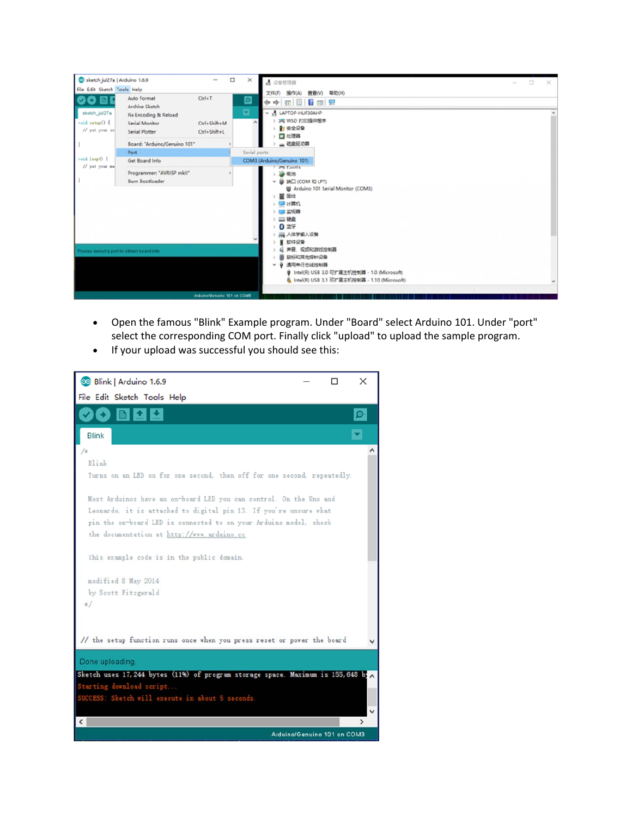

- Open the famous "Blink" Example program. Under "Board" select Arduino 101. Under "port" select the corresponding COM port. Finally click "upload" to upload the sample program.
- If your upload was successful you should see this:

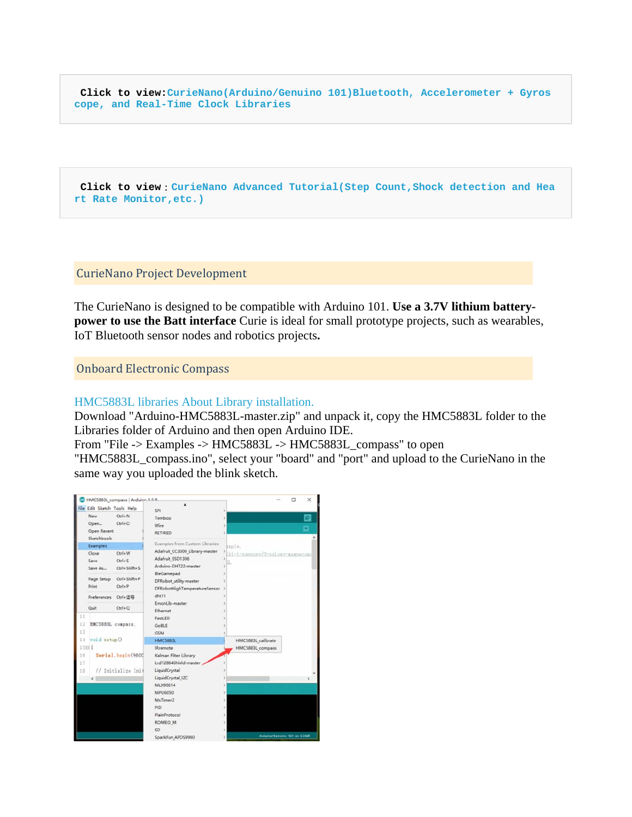**Click to view:CurieNano(Arduino/Genuino 101)Bluetooth, Accelerometer + Gyros cope, and Real-Time Clock Libraries**

**Click to view**:**CurieNano Advanced Tutorial(Step Count,Shock detection and Hea rt Rate Monitor,etc.)**

CurieNano Project Development 

The CurieNano is designed to be compatible with Arduino 101. **Use a 3.7V lithium batterypower to use the Batt interface** Curie is ideal for small prototype projects, such as wearables, IoT Bluetooth sensor nodes and robotics projects**.**

**Onboard Electronic Compass** 

HMC5883L libraries About Library installation.

Download "Arduino-HMC5883L-master.zip" and unpack it, copy the HMC5883L folder to the Libraries folder of Arduino and then open Arduino IDE.

From "File -> Examples -> HMC5883L -> HMC5883L\_compass" to open

"HMC5883L\_compass.ino", select your "board" and "port" and upload to the CurieNano in the same way you uploaded the blink sketch.